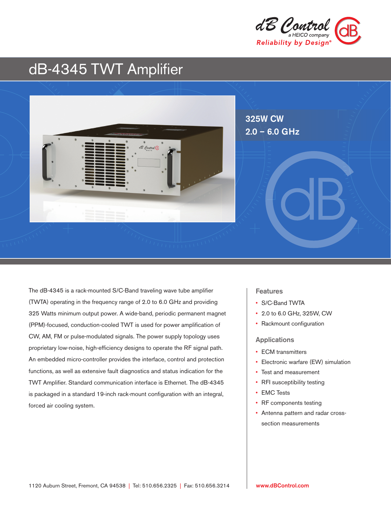

# dB-4345 TWT Amplifier



The dB-4345 is a rack-mounted S/C-Band traveling wave tube amplifier (TWTA) operating in the frequency range of 2.0 to 6.0 GHz and providing 325 Watts minimum output power. A wide-band, periodic permanent magnet (PPM)-focused, conduction-cooled TWT is used for power amplification of CW, AM, FM or pulse-modulated signals. The power supply topology uses proprietary low-noise, high-efficiency designs to operate the RF signal path. An embedded micro-controller provides the interface, control and protection functions, as well as extensive fault diagnostics and status indication for the TWT Amplifier. Standard communication interface is Ethernet. The dB-4345 is packaged in a standard 19-inch rack-mount configuration with an integral, forced air cooling system.

### **Features**

- S/C-Band TWTA
- 2.0 to 6.0 GHz, 325W, CW
- Rackmount configuration

#### Applications

- ECM transmitters
- Electronic warfare (EW) simulation
- Test and measurement
- RFI susceptibility testing
- EMC Tests
- RF components testing
- Antenna pattern and radar crosssection measurements